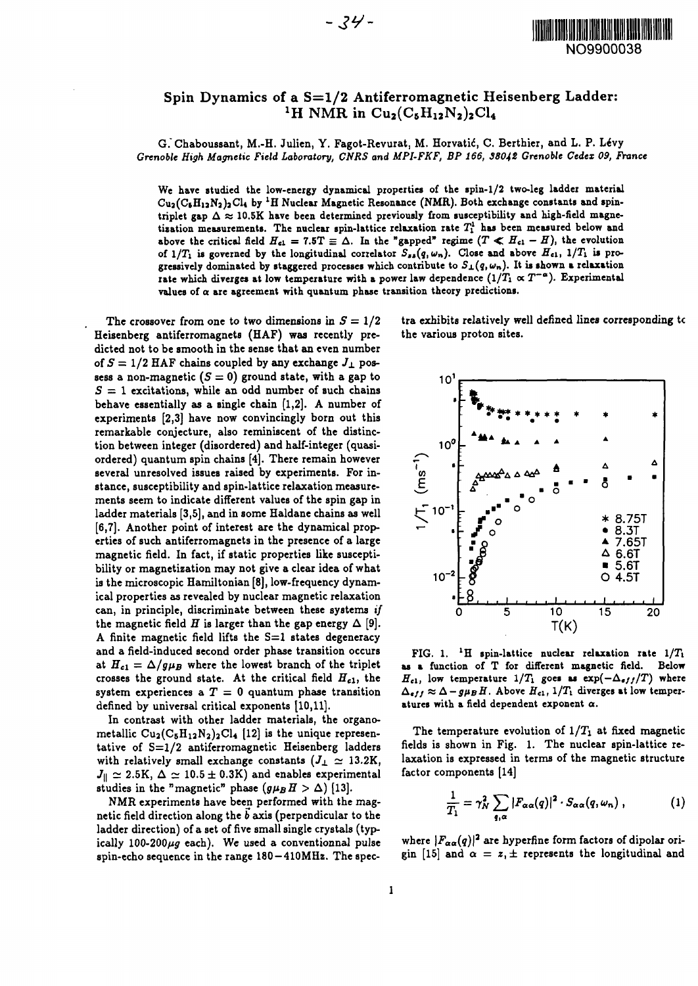

## Spin Dynamics of a  $S=1/2$  Antiferromagnetic Heisenberg Ladder: <sup>1</sup>H NMR in Cu<sub>2</sub>(C<sub>5</sub>H<sub>12</sub>N<sub>2</sub>)<sub>2</sub>Cl<sub>4</sub>

**G.Chaboussant, M.-H. Julicn, Y. Fagot-Revurat, M. Horvatid, C. Berthicr, and L. P. LeVy** *Grenoble High Magnetic Field Laboratory, CNRS and MPI-FKF, BP 166, 38042 Grenoble Cedex 09, France*

**We have studied the low-energy dynamical properties of the spin-1/2 two-leg ladder material** Cu<sub>2</sub>(C<sub>5</sub>H<sub>12</sub>N<sub>2</sub>)<sub>2</sub>Cl<sub>4</sub> by <sup>1</sup>H Nuclear Magnetic Resonance (NMR). Both exchange constants and spintriplet gap  $\Delta \approx 10.5$ K have been determined previously from susceptibility and high-field magne**tization measurements. The nuclear spin-lattice relaxation rate 7? has been measured below and** above the critical field  $H_{c1} = 7.5T \equiv \Delta$ . In the "gapped" regime  $(T \ll H_{c1} - H)$ , the evolution of  $1/T_1$  is governed by the longitudinal correlator  $S_{ss}(q,\omega_n)$ . Close and above  $H_{c1}$ ,  $1/T_1$  is pro**gressively dominated by staggered processes which contribute to** *Sj.(q,wn).* **It is shown a relaxation** rate which diverges at low temperature with a power law dependence  $(1/T_1 \propto T^{-\alpha})$ . Experimental **values of a are agreement with quantum phase transition theory predictions.**

The crossover from one to two dimensions in  $S = 1/2$ **Heisenberg antiferromagnets (HAF) was recently predicted not to be smooth in the sense that an even number** of  $S = 1/2$  HAF chains coupled by any exchange  $J_{\perp}$  possess a non-magnetic  $(S = 0)$  ground state, with a gap to **5 = 1 excitations, while an odd number of such chains behave essentially as a single chain [1,2]. A number of experiments [2,3] have now convincingly born out this remarkable conjecture, also reminiscent of the distinction between integer (disordered) and half-integer (quasiordered) quantum spin chains [4]. There remain however several unresolved issues raised by experiments. For instance, susceptibility and spin-lattice relaxation measurements seem to indicate different values of the spin gap in ladder materials [3,5], and in some Haldane chains as well [6,7]. Another point of interest are the dynamical properties of such antiferromagnets in the presence of a large magnetic field. In fact, if static properties like susceptibility or magnetization may not give a clear idea of what is the microscopic Hamiltonian [8], low-frequency dynamical properties as revealed by nuclear magnetic relaxation can, in principle, discriminate between these systems** *if* the magnetic field *H* is larger than the gap energy  $\Delta$  [9]. **A finite magnetic field lifts the S=l states degeneracy and a field-induced second order phase transition occurs** at  $H_{c1} = \Delta/g\mu_B$  where the lowest branch of the triplet **crosses the ground state. At the critical field** *Hci,* **the system experiences a T = 0 quantum phase transition defined by universal critical exponents [10,11].**

**In contrast with other ladder materials, the organo**metallic  $Cu_2(C_5H_{12}N_2)_2Cl_4$  [12] is the unique represen**tative of S=l/2 antiferromagnetic Heisenberg ladders** with relatively small exchange constants  $(J_{\perp} \simeq 13.2 \text{K}$ ,  $J_{\parallel} \simeq 2.5 \text{K}, \Delta \simeq 10.5 \pm 0.3 \text{K}$  and enables experimental studies in the "magnetic" phase  $(g\mu_B H > \Delta)$  [13].

**NMR experiments have been performed with the magnetic field direction along the** *b* **axis (perpendicular to the ladder direction) of a set of five small single crystals (typ**ically 100-200 $\mu$ g each). We used a conventionnal pulse **spin-echo sequence in the range 180 —410MHz. The spec-** **tra exhibits relatively well defined lines corresponding tc** the various proton sites.



**FIG. 1. <sup>l</sup>H spin-lattice nuclear relaxation rate l/7\ as a function of T for different magnetic field. Below**  $H_{c1}$ , low temperature  $1/T_1$  goes as  $\exp(-\Delta_{eff}/T)$  where  $\Delta_{eff} \approx \Delta - g \mu_B H$ . Above  $H_{c1}$ ,  $1/T_i$  diverges at low temper**atures with a field dependent exponent a.**

The temperature evolution of  $1/T_1$  at fixed magnetic **fields is shown in Fig. 1. The nuclear spin-lattice relaxation is expressed in terms of the magnetic structure factor components [14]**

$$
\frac{1}{T_1} = \gamma_N^2 \sum_{q,\alpha} |F_{\alpha\alpha}(q)|^2 \cdot S_{\alpha\alpha}(q,\omega_n) , \qquad (1)
$$

where  $|F_{\alpha\alpha}(q)|^2$  are hyperfine form factors of dipolar origin [15] and  $\alpha = z, \pm$  represents the longitudinal and